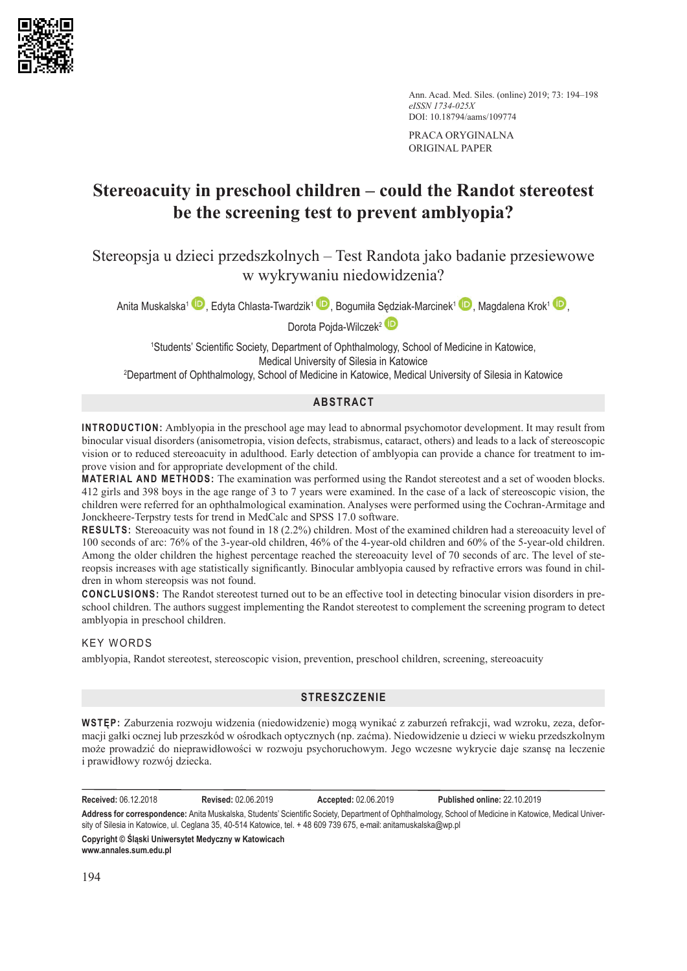

Ann. Acad. Med. Siles. (online) 2019; 73: 194–198 *eISSN 1734-025X* DOI: 10.18794/aams/109774

PRACA ORYGINALNA ORIGINAL PAPER

# **Stereoacuity in preschool children – could the Randot stereotest be the screening test to prevent amblyopia?**

Stereopsja u dzieci przedszkolnych – Test Randota jako badanie przesiewowe w wykrywaniu niedowidzenia?

Anita Muskalska<sup>1</sup> <sup>D</sup>[,](https://orcid.org/0000-0003-4057-1898) Edyta Chlasta-Twardzik<sup>1</sup> D, Bogumiła Sędziak-Marcinek<sup>1</sup> D, Magdalena Krok<sup>1</sup> D,

Dorota Pojda-Wilczek<sup>2</sup>

1 Students' Scientific Society, Department of Ophthalmology, School of Medicine in Katowice, Medical University of Silesia in Katowice

2 Department of Ophthalmology, School of Medicine in Katowice, Medical University of Silesia in Katowice

# **ABSTRACT**

**INTRODUCTION:** Amblyopia in the preschool age may lead to abnormal psychomotor development. It may result from binocular visual disorders (anisometropia, vision defects, strabismus, cataract, others) and leads to a lack of stereoscopic vision or to reduced stereoacuity in adulthood. Early detection of amblyopia can provide a chance for treatment to improve vision and for appropriate development of the child.

**MATERIAL AND METHODS:** The examination was performed using the Randot stereotest and a set of wooden blocks. 412 girls and 398 boys in the age range of 3 to 7 years were examined. In the case of a lack of stereoscopic vision, the children were referred for an ophthalmological examination. Analyses were performed using the Cochran-Armitage and Jonckheere-Terpstry tests for trend in MedCalc and SPSS 17.0 software.

**RESULTS:** Stereoacuity was not found in 18 (2.2%) children. Most of the examined children had a stereoacuity level of 100 seconds of arc: 76% of the 3-year-old children, 46% of the 4-year-old children and 60% of the 5-year-old children. Among the older children the highest percentage reached the stereoacuity level of 70 seconds of arc. The level of stereopsis increases with age statistically significantly. Binocular amblyopia caused by refractive errors was found in children in whom stereopsis was not found.

**CONCLUSIONS:** The Randot stereotest turned out to be an effective tool in detecting binocular vision disorders in preschool children. The authors suggest implementing the Randot stereotest to complement the screening program to detect amblyopia in preschool children.

# KEY WORDS

amblyopia, Randot stereotest, stereoscopic vision, prevention, preschool children, screening, stereoacuity

# **STRESZCZENIE**

**WSTĘP:** Zaburzenia rozwoju widzenia (niedowidzenie) mogą wynikać z zaburzeń refrakcji, wad wzroku, zeza, deformacji gałki ocznej lub przeszkód w ośrodkach optycznych (np. zaćma). Niedowidzenie u dzieci w wieku przedszkolnym może prowadzić do nieprawidłowości w rozwoju psychoruchowym. Jego wczesne wykrycie daje szansę na leczenie i prawidłowy rozwój dziecka.

**Received:** 06.12.2018 **Revised:** 02.06.2019 **Accepted:** 02.06.2019 **Published online:** 22.10.2019

**Address for correspondence:** Anita Muskalska, Students' Scientific Society, Department of Ophthalmology, School of Medicine in Katowice, Medical University of Silesia in Katowice, ul. Ceglana 35, 40-514 Katowice, tel. + 48 609 739 675, e-mail: anitamuskalska@wp.pl

**Copyright © Śląski Uniwersytet Medyczny w Katowicach www.annales.sum.edu.pl**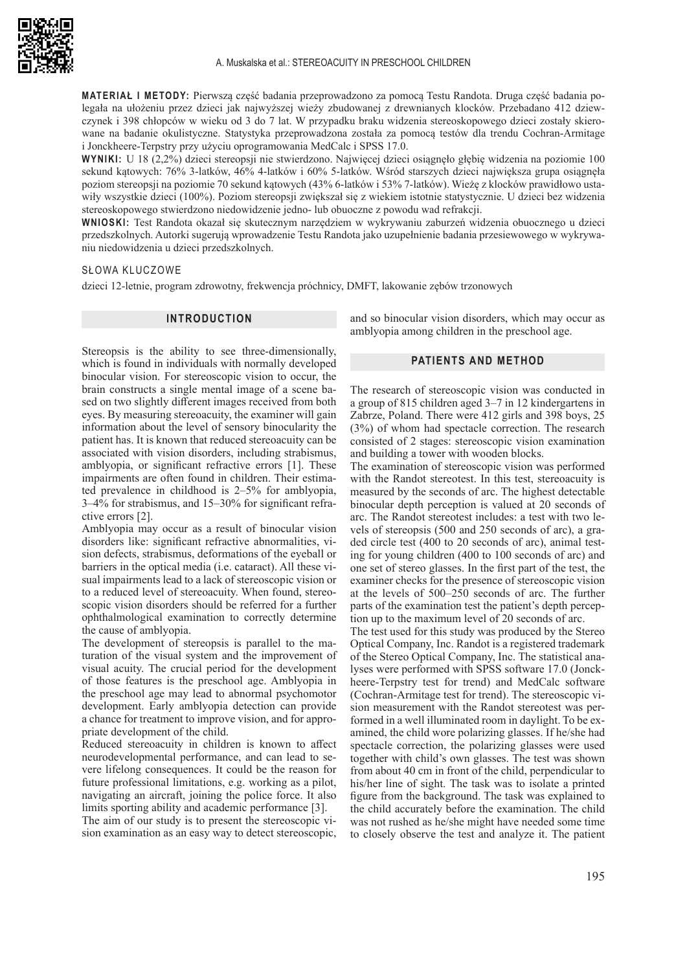

**MATERIAŁ I METODY:** Pierwszą część badania przeprowadzono za pomocą Testu Randota. Druga część badania polegała na ułożeniu przez dzieci jak najwyższej wieży zbudowanej z drewnianych klocków. Przebadano 412 dziewczynek i 398 chłopców w wieku od 3 do 7 lat. W przypadku braku widzenia stereoskopowego dzieci zostały skierowane na badanie okulistyczne. Statystyka przeprowadzona została za pomocą testów dla trendu Cochran-Armitage i Jonckheere-Terpstry przy użyciu oprogramowania MedCalc i SPSS 17.0.

**WYNIKI:** U 18 (2,2%) dzieci stereopsji nie stwierdzono. Najwięcej dzieci osiągnęło głębię widzenia na poziomie 100 sekund kątowych: 76% 3-latków, 46% 4-latków i 60% 5-latków. Wśród starszych dzieci największa grupa osiągnęła poziom stereopsji na poziomie 70 sekund kątowych (43% 6-latków i 53% 7-latków). Wieżę z klocków prawidłowo ustawiły wszystkie dzieci (100%). Poziom stereopsji zwiększał się z wiekiem istotnie statystycznie. U dzieci bez widzenia stereoskopowego stwierdzono niedowidzenie jedno- lub obuoczne z powodu wad refrakcji.

**WNIOSKI:** Test Randota okazał się skutecznym narzędziem w wykrywaniu zaburzeń widzenia obuocznego u dzieci przedszkolnych. Autorki sugerują wprowadzenie Testu Randota jako uzupełnienie badania przesiewowego w wykrywaniu niedowidzenia u dzieci przedszkolnych.

#### SŁOWA KLUCZOWE

dzieci 12-letnie, program zdrowotny, frekwencja próchnicy, DMFT, lakowanie zębów trzonowych

### **INTRODUCTION**

Stereopsis is the ability to see three-dimensionally, which is found in individuals with normally developed binocular vision. For stereoscopic vision to occur, the brain constructs a single mental image of a scene based on two slightly different images received from both eyes. By measuring stereoacuity, the examiner will gain information about the level of sensory binocularity the patient has. It is known that reduced stereoacuity can be associated with vision disorders, including strabismus, amblyopia, or significant refractive errors [1]. These impairments are often found in children. Their estimated prevalence in childhood is 2–5% for amblyopia, 3–4% for strabismus, and 15–30% for significant refractive errors [2].

Amblyopia may occur as a result of binocular vision disorders like: significant refractive abnormalities, vision defects, strabismus, deformations of the eyeball or barriers in the optical media (i.e. cataract). All these visual impairments lead to a lack of stereoscopic vision or to a reduced level of stereoacuity. When found, stereoscopic vision disorders should be referred for a further ophthalmological examination to correctly determine the cause of amblyopia.

The development of stereopsis is parallel to the maturation of the visual system and the improvement of visual acuity. The crucial period for the development of those features is the preschool age. Amblyopia in the preschool age may lead to abnormal psychomotor development. Early amblyopia detection can provide a chance for treatment to improve vision, and for appropriate development of the child.

Reduced stereoacuity in children is known to affect neurodevelopmental performance, and can lead to severe lifelong consequences. It could be the reason for future professional limitations, e.g. working as a pilot, navigating an aircraft, joining the police force. It also limits sporting ability and academic performance [3].

The aim of our study is to present the stereoscopic vision examination as an easy way to detect stereoscopic, and so binocular vision disorders, which may occur as amblyopia among children in the preschool age.

# **PATIENTS AND METHOD**

The research of stereoscopic vision was conducted in a group of 815 children aged 3–7 in 12 kindergartens in Zabrze, Poland. There were 412 girls and 398 boys, 25 (3%) of whom had spectacle correction. The research consisted of 2 stages: stereoscopic vision examination and building a tower with wooden blocks.

The examination of stereoscopic vision was performed with the Randot stereotest. In this test, stereoacuity is measured by the seconds of arc. The highest detectable binocular depth perception is valued at 20 seconds of arc. The Randot stereotest includes: a test with two levels of stereopsis (500 and 250 seconds of arc), a graded circle test (400 to 20 seconds of arc), animal testing for young children (400 to 100 seconds of arc) and one set of stereo glasses. In the first part of the test, the examiner checks for the presence of stereoscopic vision at the levels of 500–250 seconds of arc. The further parts of the examination test the patient's depth perception up to the maximum level of 20 seconds of arc.

The test used for this study was produced by the Stereo Optical Company, Inc. Randot is a registered trademark of the Stereo Optical Company, Inc. The statistical analyses were performed with SPSS software 17.0 (Jonckheere-Terpstry test for trend) and MedCalc software (Cochran-Armitage test for trend). The stereoscopic vision measurement with the Randot stereotest was performed in a well illuminated room in daylight. To be examined, the child wore polarizing glasses. If he/she had spectacle correction, the polarizing glasses were used together with child's own glasses. The test was shown from about 40 cm in front of the child, perpendicular to his/her line of sight. The task was to isolate a printed figure from the background. The task was explained to the child accurately before the examination. The child was not rushed as he/she might have needed some time to closely observe the test and analyze it. The patient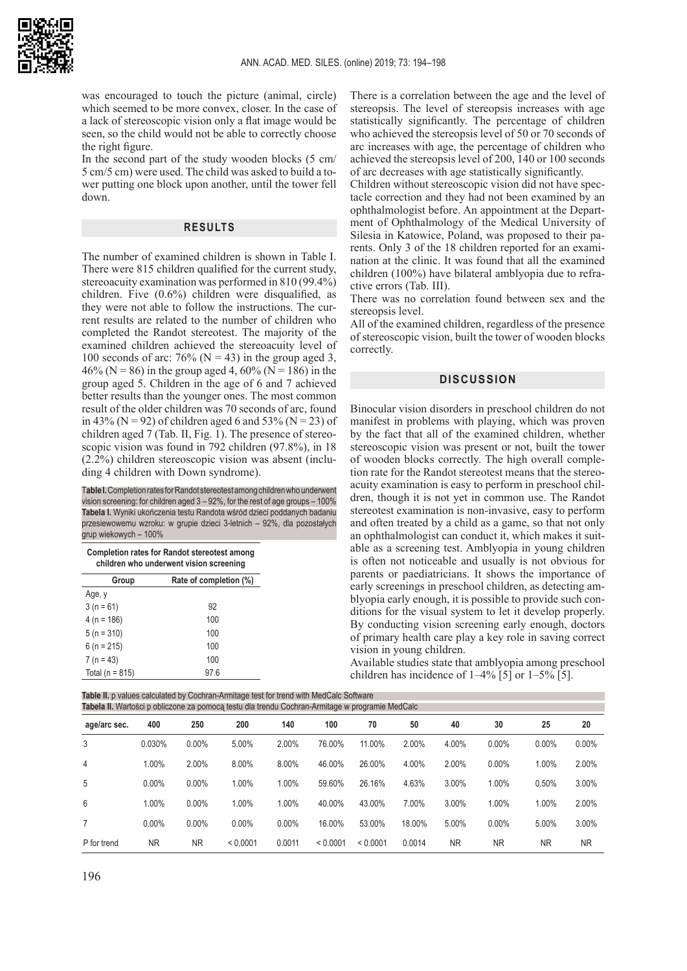

was encouraged to touch the picture (animal, circle) which seemed to be more convex, closer. In the case of a lack of stereoscopic vision only a flat image would be seen, so the child would not be able to correctly choose the right figure.

In the second part of the study wooden blocks (5 cm/ 5 cm/5 cm) were used. The child was asked to build a tower putting one block upon another, until the tower fell down.

### **RESULTS**

The number of examined children is shown in Table I. There were 815 children qualified for the current study, stereoacuity examination was performed in 810 (99.4%) children. Five (0.6%) children were disqualified, as they were not able to follow the instructions. The current results are related to the number of children who completed the Randot stereotest. The majority of the examined children achieved the stereoacuity level of 100 seconds of arc: 76% ( $N = 43$ ) in the group aged 3, 46% (N = 86) in the group aged 4, 60% (N = 186) in the group aged 5. Children in the age of 6 and 7 achieved better results than the younger ones. The most common result of the older children was 70 seconds of arc, found in 43% (N = 92) of children aged 6 and 53% (N = 23) of children aged 7 (Tab. II, Fig. 1). The presence of stereoscopic vision was found in 792 children (97.8%), in 18 (2.2%) children stereoscopic vision was absent (including 4 children with Down syndrome).

T**able I.** Completion rates for Randot stereotest among children who underwent vision screening: for children aged 3 – 92%, for the rest of age groups – 100% **Tabela I.** Wyniki ukończenia testu Randota wśród dzieci poddanych badaniu przesiewowemu wzroku: w grupie dzieci 3-letnich – 92%, dla pozostałych grup wiekowych – 100%

**Completion rates for Randot stereotest among children who underwent vision screening**

| <u>Children Wild anderwent Vision screening</u> |                        |  |  |  |
|-------------------------------------------------|------------------------|--|--|--|
| Group                                           | Rate of completion (%) |  |  |  |
| Aqe, v                                          |                        |  |  |  |
| $3(n = 61)$                                     | 92                     |  |  |  |
| $4(n = 186)$                                    | 100                    |  |  |  |
| $5(n = 310)$                                    | 100                    |  |  |  |
| $6(n = 215)$                                    | 100                    |  |  |  |
| $7(n = 43)$                                     | 100                    |  |  |  |
| Total ( $n = 815$ )                             | 97.6                   |  |  |  |

There is a correlation between the age and the level of stereopsis. The level of stereopsis increases with age statistically significantly. The percentage of children who achieved the stereopsis level of 50 or 70 seconds of arc increases with age, the percentage of children who achieved the stereopsis level of 200, 140 or 100 seconds of arc decreases with age statistically significantly.

Children without stereoscopic vision did not have spectacle correction and they had not been examined by an ophthalmologist before. An appointment at the Department of Ophthalmology of the Medical University of Silesia in Katowice, Poland, was proposed to their parents. Only 3 of the 18 children reported for an examination at the clinic. It was found that all the examined children (100%) have bilateral amblyopia due to refractive errors (Tab. III).

There was no correlation found between sex and the stereopsis level.

All of the examined children, regardless of the presence of stereoscopic vision, built the tower of wooden blocks correctly.

# **DISCUSSION**

Binocular vision disorders in preschool children do not manifest in problems with playing, which was proven by the fact that all of the examined children, whether stereoscopic vision was present or not, built the tower of wooden blocks correctly. The high overall completion rate for the Randot stereotest means that the stereoacuity examination is easy to perform in preschool children, though it is not yet in common use. The Randot stereotest examination is non-invasive, easy to perform and often treated by a child as a game, so that not only an ophthalmologist can conduct it, which makes it suitable as a screening test. Amblyopia in young children is often not noticeable and usually is not obvious for parents or paediatricians. It shows the importance of early screenings in preschool children, as detecting amblyopia early enough, it is possible to provide such conditions for the visual system to let it develop properly. By conducting vision screening early enough, doctors of primary health care play a key role in saving correct vision in young children.

Available studies state that amblyopia among preschool children has incidence of 1–4% [5] or 1–5% [5].

| Table II. p values calculated by Cochran-Armitage test for trend with MedCalc Software<br>Tabela II. Wartości p obliczone za pomoca testu dla trendu Cochran-Armitage w programie MedCalc |           |           |          |          |          |          |        |           |           |          |           |
|-------------------------------------------------------------------------------------------------------------------------------------------------------------------------------------------|-----------|-----------|----------|----------|----------|----------|--------|-----------|-----------|----------|-----------|
| age/arc sec.                                                                                                                                                                              | 400       | 250       | 200      | 140      | 100      | 70       | 50     | 40        | 30        | 25       | 20        |
| 3                                                                                                                                                                                         | 0.030%    | 0.00%     | 5.00%    | 2.00%    | 76.00%   | 11.00%   | 2.00%  | 4.00%     | $0.00\%$  | $0.00\%$ | 0.00%     |
| $\overline{4}$                                                                                                                                                                            | 1.00%     | 2.00%     | 8.00%    | 8.00%    | 46.00%   | 26.00%   | 4.00%  | $2.00\%$  | $0.00\%$  | 1.00%    | 2.00%     |
| 5                                                                                                                                                                                         | $0.00\%$  | $0.00\%$  | 1.00%    | 1.00%    | 59.60%   | 26.16%   | 4.63%  | 3.00%     | 1.00%     | 0.50%    | 3.00%     |
| 6                                                                                                                                                                                         | 1.00%     | $0.00\%$  | 1.00%    | 1.00%    | 40.00%   | 43.00%   | 7.00%  | $3.00\%$  | 1.00%     | 1.00%    | 2.00%     |
|                                                                                                                                                                                           | $0.00\%$  | $0.00\%$  | $0.00\%$ | $0.00\%$ | 16.00%   | 53.00%   | 18.00% | 5.00%     | $0.00\%$  | 5.00%    | 3.00%     |
| P for trend                                                                                                                                                                               | <b>NR</b> | <b>NR</b> | < 0.0001 | 0.0011   | < 0.0001 | < 0.0001 | 0.0014 | <b>NR</b> | <b>NR</b> | ΝR       | <b>NR</b> |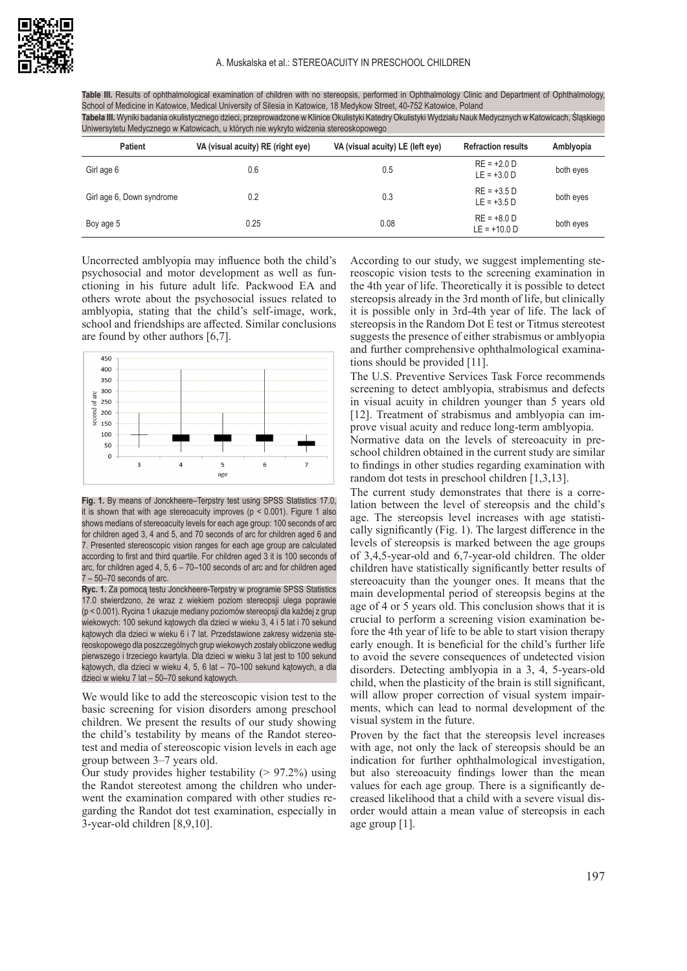Table III. Results of ophthalmological examination of children with no stereopsis, performed in Ophthalmology Clinic and Department of Ophthalmology School of Medicine in Katowice, Medical University of Silesia in Katowice, 18 Medykow Street, 40-752 Katowice, Poland **Tabela III.** Wyniki badania okulistycznego dzieci, przeprowadzone w Klinice Okulistyki Katedry Okulistyki Wydziału Nauk Medycznych w Katowicach, Śląskiego Uniwersytetu Medycznego w Katowicach, u których nie wykryto widzenia stereoskopowego

| <b>Patient</b>            | VA (visual acuity) RE (right eye) | VA (visual acuity) LE (left eye) | <b>Refraction results</b>       | Amblyopia |
|---------------------------|-----------------------------------|----------------------------------|---------------------------------|-----------|
| Girl age 6                | 0.6                               | 0.5                              | $RE = +2.0 D$<br>$LE = +3.0 D$  | both eyes |
| Girl age 6, Down syndrome | 0.2                               | 0.3                              | $RE = +3.5 D$<br>$LE = +3.5 D$  | both eyes |
| Boy age 5                 | 0.25                              | 0.08                             | $RE = +8.0 D$<br>$LE = +10.0 D$ | both eyes |

Uncorrected amblyopia may influence both the child's psychosocial and motor development as well as functioning in his future adult life. Packwood EA and others wrote about the psychosocial issues related to amblyopia, stating that the child's self-image, work, school and friendships are affected. Similar conclusions are found by other authors [6,7].



**Fig. 1.** By means of Jonckheere–Terpstry test using SPSS Statistics 17.0, it is shown that with age stereoacuity improves  $(p < 0.001)$ . Figure 1 also shows medians of stereoacuity levels for each age group: 100 seconds of arc for children aged 3, 4 and 5, and 70 seconds of arc for children aged 6 and 7. Presented stereoscopic vision ranges for each age group are calculated according to first and third quartile. For children aged 3 it is 100 seconds of arc, for children aged 4, 5, 6 – 70–100 seconds of arc and for children aged 7 – 50–70 seconds of arc.

**Ryc. 1.** Za pomocą testu Jonckheere-Terpstry w programie SPSS Statistics 17.0 stwierdzono, że wraz z wiekiem poziom stereopsji ulega poprawie (p < 0.001). Rycina 1 ukazuje mediany poziomów stereopsji dla każdej z grup wiekowych: 100 sekund kątowych dla dzieci w wieku 3, 4 i 5 lat i 70 sekund kątowych dla dzieci w wieku 6 i 7 lat. Przedstawione zakresy widzenia stereoskopowego dla poszczególnych grup wiekowych zostały obliczone według pierwszego i trzeciego kwartyla. Dla dzieci w wieku 3 lat jest to 100 sekund kątowych, dla dzieci w wieku 4, 5, 6 lat – 70–100 sekund kątowych, a dla dzieci w wieku 7 lat – 50–70 sekund kątowych.

We would like to add the stereoscopic vision test to the basic screening for vision disorders among preschool children. We present the results of our study showing the child's testability by means of the Randot stereotest and media of stereoscopic vision levels in each age group between 3–7 years old.

Our study provides higher testability  $(> 97.2\%)$  using the Randot stereotest among the children who underwent the examination compared with other studies regarding the Randot dot test examination, especially in 3-year-old children [8,9,10].

According to our study, we suggest implementing stereoscopic vision tests to the screening examination in the 4th year of life. Theoretically it is possible to detect stereopsis already in the 3rd month of life, but clinically it is possible only in 3rd-4th year of life. The lack of stereopsis in the Random Dot E test or Titmus stereotest suggests the presence of either strabismus or amblyopia and further comprehensive ophthalmological examinations should be provided [11].

The U.S. Preventive Services Task Force recommends screening to detect amblyopia, strabismus and defects in visual acuity in children younger than 5 years old [12]. Treatment of strabismus and amblyopia can improve visual acuity and reduce long-term amblyopia.

Normative data on the levels of stereoacuity in preschool children obtained in the current study are similar to findings in other studies regarding examination with random dot tests in preschool children [1,3,13].

The current study demonstrates that there is a correlation between the level of stereopsis and the child's age. The stereopsis level increases with age statistically significantly (Fig. 1). The largest difference in the levels of stereopsis is marked between the age groups of 3,4,5-year-old and 6,7-year-old children. The older children have statistically significantly better results of stereoacuity than the younger ones. It means that the main developmental period of stereopsis begins at the age of 4 or 5 years old. This conclusion shows that it is crucial to perform a screening vision examination before the 4th year of life to be able to start vision therapy early enough. It is beneficial for the child's further life to avoid the severe consequences of undetected vision disorders. Detecting amblyopia in a 3, 4, 5-years-old child, when the plasticity of the brain is still significant, will allow proper correction of visual system impairments, which can lead to normal development of the visual system in the future.

Proven by the fact that the stereopsis level increases with age, not only the lack of stereopsis should be an indication for further ophthalmological investigation, but also stereoacuity findings lower than the mean values for each age group. There is a significantly decreased likelihood that a child with a severe visual disorder would attain a mean value of stereopsis in each age group [1].